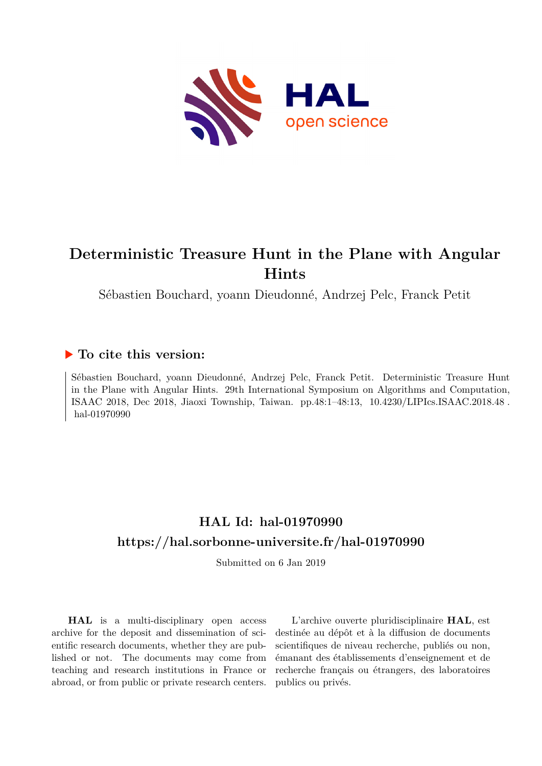

# **Deterministic Treasure Hunt in the Plane with Angular Hints**

Sébastien Bouchard, yoann Dieudonné, Andrzej Pelc, Franck Petit

### **To cite this version:**

Sébastien Bouchard, yoann Dieudonné, Andrzej Pelc, Franck Petit. Deterministic Treasure Hunt in the Plane with Angular Hints. 29th International Symposium on Algorithms and Computation, ISAAC 2018, Dec 2018, Jiaoxi Township, Taiwan. pp.48:1-48:13, 10.4230/LIPIcs.ISAAC.2018.48. hal-01970990

## **HAL Id: hal-01970990 <https://hal.sorbonne-universite.fr/hal-01970990>**

Submitted on 6 Jan 2019

**HAL** is a multi-disciplinary open access archive for the deposit and dissemination of scientific research documents, whether they are published or not. The documents may come from teaching and research institutions in France or abroad, or from public or private research centers.

L'archive ouverte pluridisciplinaire **HAL**, est destinée au dépôt et à la diffusion de documents scientifiques de niveau recherche, publiés ou non, émanant des établissements d'enseignement et de recherche français ou étrangers, des laboratoires publics ou privés.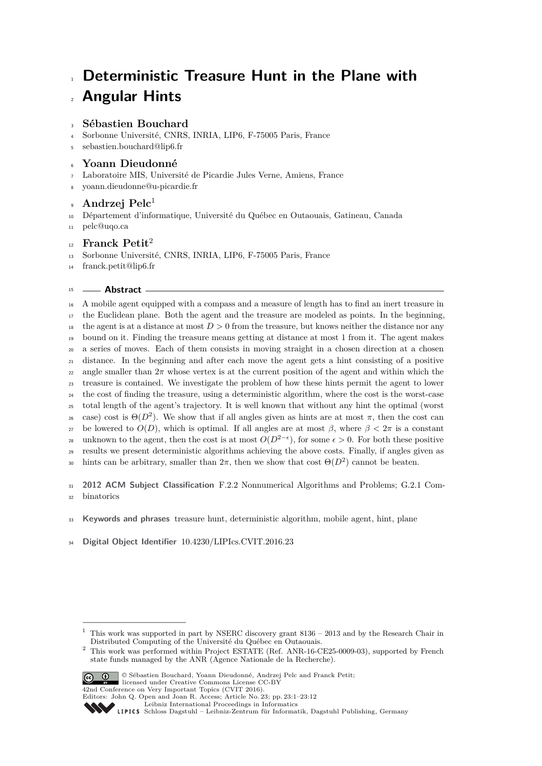# **Deterministic Treasure Hunt in the Plane with** <sup>2</sup> **Angular Hints**

### <sup>3</sup> **Sébastien Bouchard**

- <sup>4</sup> Sorbonne Université, CNRS, INRIA, LIP6, F-75005 Paris, France
- <sup>5</sup> [sebastien.bouchard@lip6.fr](mailto:sebastien.bouchard@lip6.fr)

### <sup>6</sup> **Yoann Dieudonné**

- <sup>7</sup> Laboratoire MIS, Université de Picardie Jules Verne, Amiens, France
- <sup>8</sup> [yoann.dieudonne@u-picardie.fr](mailto:yoann.dieudonne@u-picardie.fr)

#### **Andrzej Pelc**<sup>1</sup>  $\epsilon$

- <sup>10</sup> Département d'informatique, Université du Québec en Outaouais, Gatineau, Canada
- <sup>11</sup> [pelc@uqo.ca](mailto:pelc@uqo.ca)

#### **Franck Petit**<sup>2</sup> 12

- <sup>13</sup> Sorbonne Université, CNRS, INRIA, LIP6, F-75005 Paris, France
- <sup>14</sup> [franck.petit@lip6.fr](mailto:franck.petit@lip6.fr)

#### <sup>15</sup> **Abstract**

<sup>16</sup> A mobile agent equipped with a compass and a measure of length has to find an inert treasure in <sup>17</sup> the Euclidean plane. Both the agent and the treasure are modeled as points. In the beginning, <sup>18</sup> the agent is at a distance at most  $D > 0$  from the treasure, but knows neither the distance nor any <sup>19</sup> bound on it. Finding the treasure means getting at distance at most 1 from it. The agent makes <sup>20</sup> a series of moves. Each of them consists in moving straight in a chosen direction at a chosen <sup>21</sup> distance. In the beginning and after each move the agent gets a hint consisting of a positive 22 angle smaller than  $2\pi$  whose vertex is at the current position of the agent and within which the <sup>23</sup> treasure is contained. We investigate the problem of how these hints permit the agent to lower <sup>24</sup> the cost of finding the treasure, using a deterministic algorithm, where the cost is the worst-case <sup>25</sup> total length of the agent's trajectory. It is well known that without any hint the optimal (worst  $\cos$  case) cost is  $\Theta(D^2)$ . We show that if all angles given as hints are at most π, then the cost can 27 be lowered to  $O(D)$ , which is optimal. If all angles are at most  $β$ , where  $β < 2π$  is a constant unknown to the agent, then the cost is at most  $O(D^{2-\epsilon})$ , for some  $\epsilon > 0$ . For both these positive <sup>29</sup> results we present deterministic algorithms achieving the above costs. Finally, if angles given as bints can be arbitrary, smaller than  $2\pi$ , then we show that cost  $\Theta(D^2)$  cannot be beaten.

<sup>31</sup> **2012 ACM Subject Classification** F.2.2 Nonnumerical Algorithms and Problems; G.2.1 Com-<sup>32</sup> binatorics

<sup>33</sup> **Keywords and phrases** treasure hunt, deterministic algorithm, mobile agent, hint, plane

<sup>34</sup> **Digital Object Identifier** [10.4230/LIPIcs.CVIT.2016.23](http://dx.doi.org/10.4230/LIPIcs.CVIT.2016.23)

<sup>&</sup>lt;sup>2</sup> This work was performed within Project ESTATE (Ref. ANR-16-CE25-0009-03), supported by French state funds managed by the ANR (Agence Nationale de la Recherche).



© Sébastien Bouchard, Yoann Dieudonné, Andrzej Pelc and Franck Petit; licensed under Creative Commons License CC-BY

42nd Conference on Very Important Topics (CVIT 2016).

<sup>1</sup> This work was supported in part by NSERC discovery grant 8136 – 2013 and by the Research Chair in Distributed Computing of the Université du Québec en Outaouais.

Editors: John Q. Open and Joan R. Access; Article No. 23; pp. 23:1–23:12

[Leibniz International Proceedings in Informatics](http://www.dagstuhl.de/lipics/)

[Schloss Dagstuhl – Leibniz-Zentrum für Informatik, Dagstuhl Publishing, Germany](http://www.dagstuhl.de)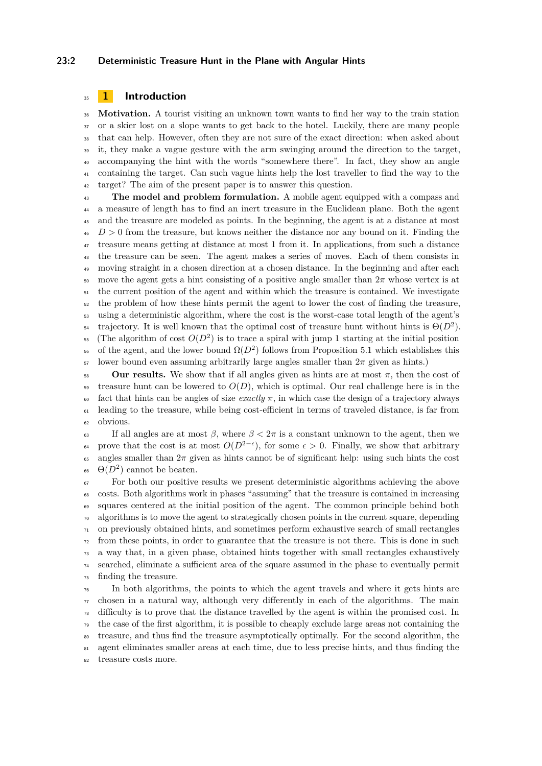#### **23:2 Deterministic Treasure Hunt in the Plane with Angular Hints**

#### **1 Introduction**

 **Motivation.** A tourist visiting an unknown town wants to find her way to the train station 37 or a skier lost on a slope wants to get back to the hotel. Luckily, there are many people that can help. However, often they are not sure of the exact direction: when asked about it, they make a vague gesture with the arm swinging around the direction to the target, accompanying the hint with the words "somewhere there". In fact, they show an angle containing the target. Can such vague hints help the lost traveller to find the way to the target? The aim of the present paper is to answer this question.

 **The model and problem formulation.** A mobile agent equipped with a compass and a measure of length has to find an inert treasure in the Euclidean plane. Both the agent and the treasure are modeled as points. In the beginning, the agent is at a distance at most  $\mu_{6}$  *D* > 0 from the treasure, but knows neither the distance nor any bound on it. Finding the treasure means getting at distance at most 1 from it. In applications, from such a distance the treasure can be seen. The agent makes a series of moves. Each of them consists in <sup>49</sup> moving straight in a chosen direction at a chosen distance. In the beginning and after each 50 move the agent gets a hint consisting of a positive angle smaller than  $2\pi$  whose vertex is at  $_{51}$  the current position of the agent and within which the treasure is contained. We investigate the problem of how these hints permit the agent to lower the cost of finding the treasure, using a deterministic algorithm, where the cost is the worst-case total length of the agent's trajectory. It is well known that the optimal cost of treasure hunt without hints is  $\Theta(D^2)$ . (The algorithm of cost  $O(D^2)$  is to trace a spiral with jump 1 starting at the initial position <sup>56</sup> of the agent, and the lower bound  $\Omega(D^2)$  follows from Proposition 5.1 which establishes this lower bound even assuming arbitrarily large angles smaller than  $2\pi$  given as hints.)

58 **Our results.** We show that if all angles given as hints are at most  $\pi$ , then the cost of  $\frac{1}{59}$  treasure hunt can be lowered to  $O(D)$ , which is optimal. Our real challenge here is in the 60 fact that hints can be angles of size *exactly*  $\pi$ , in which case the design of a trajectory always leading to the treasure, while being cost-efficient in terms of traveled distance, is far from obvious.

 If all angles are at most *β*, where *β <* 2*π* is a constant unknown to the agent, then we <sup>64</sup> prove that the cost is at most  $O(D^{2-\epsilon})$ , for some  $\epsilon > 0$ . Finally, we show that arbitrary angles smaller than 2*π* given as hints cannot be of significant help: using such hints the cost <sup>66</sup>  $\Theta(D^2)$  cannot be beaten.

 For both our positive results we present deterministic algorithms achieving the above costs. Both algorithms work in phases "assuming" that the treasure is contained in increasing squares centered at the initial position of the agent. The common principle behind both algorithms is to move the agent to strategically chosen points in the current square, depending on previously obtained hints, and sometimes perform exhaustive search of small rectangles from these points, in order to guarantee that the treasure is not there. This is done in such a way that, in a given phase, obtained hints together with small rectangles exhaustively searched, eliminate a sufficient area of the square assumed in the phase to eventually permit finding the treasure.

 In both algorithms, the points to which the agent travels and where it gets hints are  $\pi$  chosen in a natural way, although very differently in each of the algorithms. The main difficulty is to prove that the distance travelled by the agent is within the promised cost. In the case of the first algorithm, it is possible to cheaply exclude large areas not containing the treasure, and thus find the treasure asymptotically optimally. For the second algorithm, the agent eliminates smaller areas at each time, due to less precise hints, and thus finding the treasure costs more.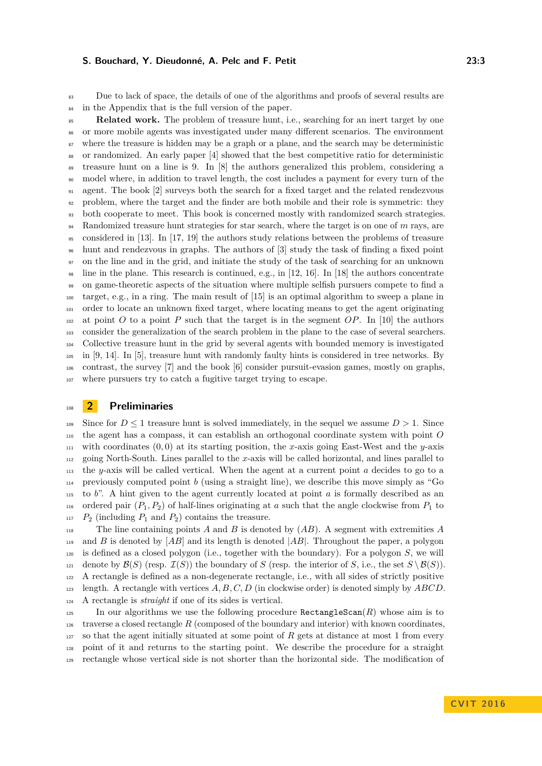Due to lack of space, the details of one of the algorithms and proofs of several results are in the Appendix that is the full version of the paper.

 **Related work.** The problem of treasure hunt, i.e., searching for an inert target by one or more mobile agents was investigated under many different scenarios. The environment <sup>87</sup> where the treasure is hidden may be a graph or a plane, and the search may be deterministic or randomized. An early paper [4] showed that the best competitive ratio for deterministic treasure hunt on a line is 9. In [8] the authors generalized this problem, considering a model where, in addition to travel length, the cost includes a payment for every turn of the agent. The book [2] surveys both the search for a fixed target and the related rendezvous problem, where the target and the finder are both mobile and their role is symmetric: they both cooperate to meet. This book is concerned mostly with randomized search strategies. Randomized treasure hunt strategies for star search, where the target is on one of *m* rays, are considered in [13]. In [17, 19] the authors study relations between the problems of treasure hunt and rendezvous in graphs. The authors of [3] study the task of finding a fixed point on the line and in the grid, and initiate the study of the task of searching for an unknown line in the plane. This research is continued, e.g., in [12, 16]. In [18] the authors concentrate on game-theoretic aspects of the situation where multiple selfish pursuers compete to find a target, e.g., in a ring. The main result of [15] is an optimal algorithm to sweep a plane in order to locate an unknown fixed target, where locating means to get the agent originating at point *O* to a point *P* such that the target is in the segment *OP*. In [10] the authors consider the generalization of the search problem in the plane to the case of several searchers. Collective treasure hunt in the grid by several agents with bounded memory is investigated in [9, 14]. In [5], treasure hunt with randomly faulty hints is considered in tree networks. By contrast, the survey [7] and the book [6] consider pursuit-evasion games, mostly on graphs, where pursuers try to catch a fugitive target trying to escape.

#### **2 Preliminaries**

<sup>109</sup> Since for  $D \leq 1$  treasure hunt is solved immediately, in the sequel we assume  $D > 1$ . Since the agent has a compass, it can establish an orthogonal coordinate system with point *O* with coordinates  $(0,0)$  at its starting position, the *x*-axis going East-West and the *y*-axis going North-South. Lines parallel to the *x*-axis will be called horizontal, and lines parallel to the *y*-axis will be called vertical. When the agent at a current point *a* decides to go to a previously computed point *b* (using a straight line), we describe this move simply as "Go to *b*". A hint given to the agent currently located at point *a* is formally described as an 116 ordered pair  $(P_1, P_2)$  of half-lines originating at *a* such that the angle clockwise from  $P_1$  to  $P_2$  (including  $P_1$  and  $P_2$ ) contains the treasure.

 The line containing points *A* and *B* is denoted by (*AB*). A segment with extremities *A* and *B* is denoted by [*AB*] and its length is denoted |*AB*|. Throughout the paper, a polygon is defined as a closed polygon (i.e., together with the boundary). For a polygon *S*, we will 121 denote by  $\mathcal{B}(S)$  (resp.  $\mathcal{I}(S)$ ) the boundary of *S* (resp. the interior of *S*, i.e., the set  $S \setminus \mathcal{B}(S)$ ). A rectangle is defined as a non-degenerate rectangle, i.e., with all sides of strictly positive length. A rectangle with vertices *A, B, C, D* (in clockwise order) is denoted simply by *ABCD*. A rectangle is *straight* if one of its sides is vertical.

125 In our algorithms we use the following procedure  $\texttt{RectanglesCan}(R)$  whose aim is to 126 traverse a closed rectangle  $R$  (composed of the boundary and interior) with known coordinates, so that the agent initially situated at some point of *R* gets at distance at most 1 from every point of it and returns to the starting point. We describe the procedure for a straight rectangle whose vertical side is not shorter than the horizontal side. The modification of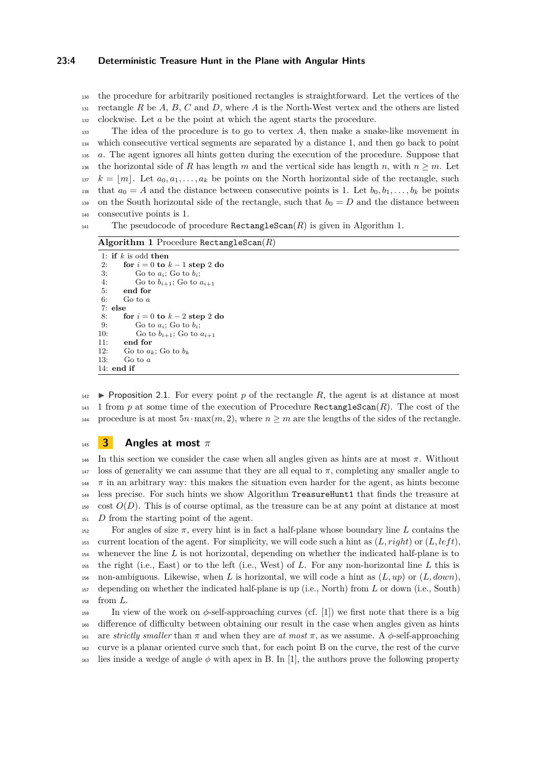#### **23:4 Deterministic Treasure Hunt in the Plane with Angular Hints**

<sup>130</sup> the procedure for arbitrarily positioned rectangles is straightforward. Let the vertices of the <sup>131</sup> rectangle *R* be *A*, *B*, *C* and *D*, where *A* is the North-West vertex and the others are listed <sup>132</sup> clockwise. Let *a* be the point at which the agent starts the procedure.

<sup>133</sup> The idea of the procedure is to go to vertex *A*, then make a snake-like movement in <sup>134</sup> which consecutive vertical segments are separated by a distance 1, and then go back to point <sup>135</sup> *a*. The agent ignores all hints gotten during the execution of the procedure. Suppose that 136 the horizontal side of *R* has length *m* and the vertical side has length *n*, with  $n \geq m$ . Let  $k = [m]$ . Let  $a_0, a_1, \ldots, a_k$  be points on the North horizontal side of the rectangle, such <sup>138</sup> that  $a_0 = A$  and the distance between consecutive points is 1. Let  $b_0, b_1, \ldots, b_k$  be points 139 on the South horizontal side of the rectangle, such that  $b_0 = D$  and the distance between <sup>140</sup> consecutive points is 1.

<sup>141</sup> The pseudocode of procedure RectangleScan(*R*) is given in Algorithm 1.

#### **Algorithm 1** Procedure RectangleScan(*R*)

```
1: if k is odd then
 2: for i = 0 to k - 1 step 2 do
3: Go to a_i; Go to b_i;
 4: Go to b_{i+1}; Go to a_{i+1}5: end for
 6: Go to a
 7: else
8: for i = 0 to k - 2 step 2 do<br>9: Go to a: Go to b:
9: Go to a_i; Go to b_i;<br>10: Go to b_{i+1}; Go to
10: Go to b_{i+1}; Go to a_{i+1}<br>11: end for
        end for
12: Go to a_k; Go to b_k13: Go to a
14: end if
```
 $142$  **D** Proposition 2.1. For every point p of the rectangle R, the agent is at distance at most 143 1 from p at some time of the execution of Procedure RectangleScan $(R)$ . The cost of the procedure is at most  $5n \cdot \max(m, 2)$ , where  $n \geq m$  are the lengths of the sides of the rectangle.

#### <sup>145</sup> **3 Angles at most** *π*

<sup>146</sup> In this section we consider the case when all angles given as hints are at most *π*. Without <sup>147</sup> loss of generality we can assume that they are all equal to  $π$ , completing any smaller angle to <sup>148</sup>  $\pi$  in an arbitrary way: this makes the situation even harder for the agent, as hints become <sup>149</sup> less precise. For such hints we show Algorithm TreasureHunt1 that finds the treasure at  $150 \quad \text{cost } O(D)$ . This is of course optimal, as the treasure can be at any point at distance at most <sup>151</sup> *D* from the starting point of the agent.

 For angles of size *π*, every hint is in fact a half-plane whose boundary line *L* contains the 153 current location of the agent. For simplicity, we will code such a hint as  $(L, right)$  or  $(L, left)$ , whenever the line *L* is not horizontal, depending on whether the indicated half-plane is to the right (i.e., East) or to the left (i.e., West) of *L*. For any non-horizontal line *L* this is non-ambiguous. Likewise, when *L* is horizontal, we will code a hint as (*L, up*) or (*L, down*), depending on whether the indicated half-plane is up (i.e., North) from *L* or down (i.e., South) <sup>158</sup> from *L*.

159 In view of the work on  $\phi$ -self-approaching curves (cf. [1]) we first note that there is a big <sup>160</sup> difference of difficulty between obtaining our result in the case when angles given as hints 161 are *strictly smaller* than  $\pi$  and when they are *at most*  $\pi$ , as we assume. A  $\phi$ -self-approaching <sup>162</sup> curve is a planar oriented curve such that, for each point B on the curve, the rest of the curve <sup>163</sup> lies inside a wedge of angle  $\phi$  with apex in B. In [1], the authors prove the following property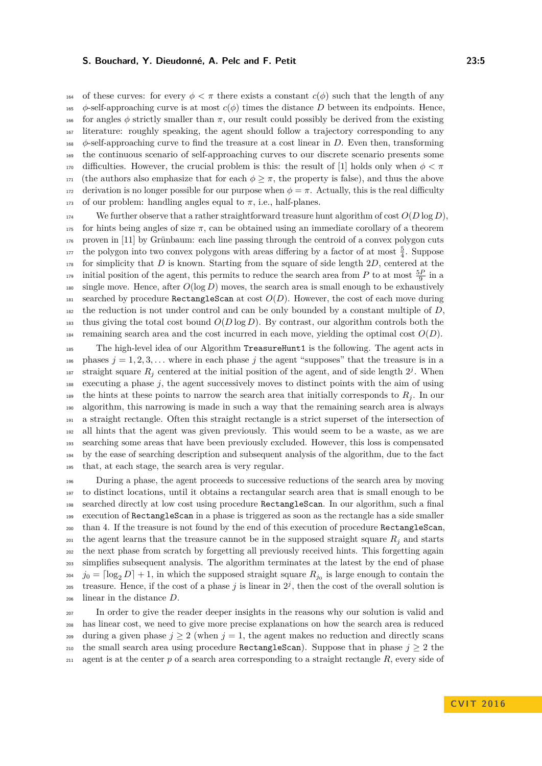164 of these curves: for every  $\phi < \pi$  there exists a constant  $c(\phi)$  such that the length of any 165 *φ*-self-approaching curve is at most  $c(\phi)$  times the distance D between its endpoints. Hence, 166 for angles  $\phi$  strictly smaller than  $\pi$ , our result could possibly be derived from the existing <sup>167</sup> literature: roughly speaking, the agent should follow a trajectory corresponding to any <sup>168</sup> *φ*-self-approaching curve to find the treasure at a cost linear in *D*. Even then, transforming <sup>169</sup> the continuous scenario of self-approaching curves to our discrete scenario presents some 170 difficulties. However, the crucial problem is this: the result of [1] holds only when  $\phi < \pi$ <sup>171</sup> (the authors also emphasize that for each  $\phi \geq \pi$ , the property is false), and thus the above 172 derivation is no longer possible for our purpose when  $\phi = \pi$ . Actually, this is the real difficulty 173 of our problem: handling angles equal to  $\pi$ , i.e., half-planes.

<sup>174</sup> We further observe that a rather straightforward treasure hunt algorithm of cost  $O(D \log D)$ . 175 for hints being angles of size  $\pi$ , can be obtained using an immediate corollary of a theorem <sup>176</sup> proven in [11] by Grünbaum: each line passing through the centroid of a convex polygon cuts <sup>177</sup> the polygon into two convex polygons with areas differing by a factor of at most  $\frac{5}{4}$ . Suppose <sup>178</sup> for simplicity that *D* is known. Starting from the square of side length 2*D*, centered at the initial position of the agent, this permits to reduce the search area from *P* to at most  $\frac{5P}{9}$  in a  $\frac{180}{180}$  single move. Hence, after  $O(\log D)$  moves, the search area is small enough to be exhaustively 181 searched by procedure RectangleScan at cost  $O(D)$ . However, the cost of each move during  $_{182}$  the reduction is not under control and can be only bounded by a constant multiple of  $D$ , <sup>183</sup> thus giving the total cost bound *O*(*D* log *D*). By contrast, our algorithm controls both the 184 remaining search area and the cost incurred in each move, yielding the optimal cost  $O(D)$ .

 The high-level idea of our Algorithm TreasureHunt1 is the following. The agent acts in 186 phases  $j = 1, 2, 3, \ldots$  where in each phase *j* the agent "supposes" that the treasure is in a <sup>187</sup> straight square  $R_j$  centered at the initial position of the agent, and of side length  $2^j$ . When executing a phase *j*, the agent successively moves to distinct points with the aim of using 189 the hints at these points to narrow the search area that initially corresponds to  $R_i$ . In our algorithm, this narrowing is made in such a way that the remaining search area is always a straight rectangle. Often this straight rectangle is a strict superset of the intersection of all hints that the agent was given previously. This would seem to be a waste, as we are searching some areas that have been previously excluded. However, this loss is compensated by the ease of searching description and subsequent analysis of the algorithm, due to the fact that, at each stage, the search area is very regular.

 During a phase, the agent proceeds to successive reductions of the search area by moving to distinct locations, until it obtains a rectangular search area that is small enough to be searched directly at low cost using procedure RectangleScan. In our algorithm, such a final execution of RectangleScan in a phase is triggered as soon as the rectangle has a side smaller than 4. If the treasure is not found by the end of this execution of procedure RectangleScan, <sup>201</sup> the agent learns that the treasure cannot be in the supposed straight square  $R_j$  and starts the next phase from scratch by forgetting all previously received hints. This forgetting again simplifies subsequent analysis. The algorithm terminates at the latest by the end of phase  $j_0 = \lceil \log_2 D \rceil + 1$ , in which the supposed straight square  $R_{j_0}$  is large enough to contain the treasure. Hence, if the cost of a phase  $j$  is linear in  $2^j$ , then the cost of the overall solution is linear in the distance *D*.

<sup>207</sup> In order to give the reader deeper insights in the reasons why our solution is valid and <sup>208</sup> has linear cost, we need to give more precise explanations on how the search area is reduced <sup>209</sup> during a given phase  $j \geq 2$  (when  $j = 1$ , the agent makes no reduction and directly scans 210 the small search area using procedure RectangleScan). Suppose that in phase  $j \geq 2$  the <sup>211</sup> agent is at the center *p* of a search area corresponding to a straight rectangle *R*, every side of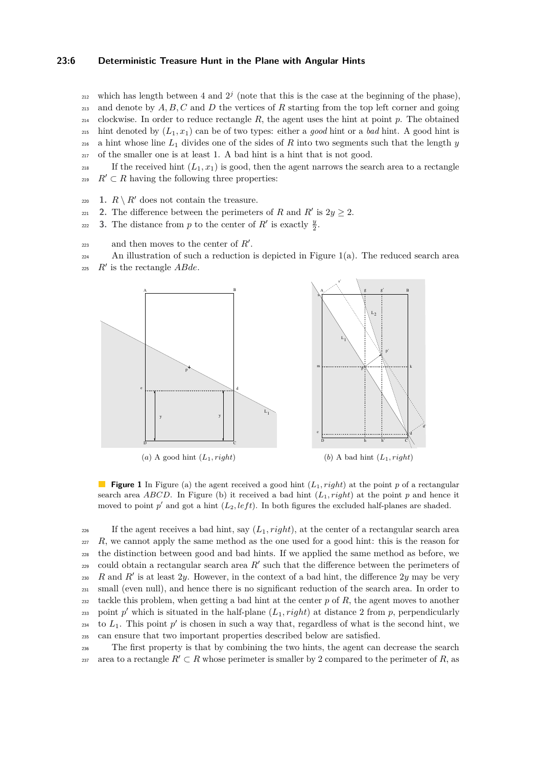#### **23:6 Deterministic Treasure Hunt in the Plane with Angular Hints**

- <sup>212</sup> which has length between 4 and  $2<sup>j</sup>$  (note that this is the case at the beginning of the phase), <sup>213</sup> and denote by *A, B, C* and *D* the vertices of *R* starting from the top left corner and going  $_{214}$  clockwise. In order to reduce rectangle R, the agent uses the hint at point p. The obtained 215 hint denoted by  $(L_1, x_1)$  can be of two types: either a *good* hint or a *bad* hint. A good hint is <sup>216</sup> a hint whose line *L*<sup>1</sup> divides one of the sides of *R* into two segments such that the length *y* <sup>217</sup> of the smaller one is at least 1. A bad hint is a hint that is not good.
- <sup>218</sup> If the received hint  $(L_1, x_1)$  is good, then the agent narrows the search area to a rectangle <sup>219</sup>  $R' \subset R$  having the following three properties:
- 220 **1.**  $R \setminus R'$  does not contain the treasure.
- 221 2. The difference between the perimeters of *R* and *R'* is  $2y \ge 2$ .
- **3.** The distance from *p* to the center of *R*<sup> $\prime$ </sup> is exactly  $\frac{y}{2}$ .
- and then moves to the center of  $R'$ .
- <sup>224</sup> An illustration of such a reduction is depicted in Figure 1(a). The reduced search area
- $R'$  is the rectangle  $ABde$ .



**Figure 1** In Figure (a) the agent received a good hint  $(L_1, right)$  at the point p of a rectangular search area *ABCD*. In Figure (b) it received a bad hint  $(L_1, right)$  at the point *p* and hence it moved to point  $p'$  and got a hint  $(L_2, left)$ . In both figures the excluded half-planes are shaded.

<sup>226</sup> If the agent receives a bad hint, say  $(L_1, right)$ , at the center of a rectangular search area  $R$ , we cannot apply the same method as the one used for a good hint: this is the reason for <sup>228</sup> the distinction between good and bad hints. If we applied the same method as before, we  $_{229}$  could obtain a rectangular search area  $R'$  such that the difference between the perimeters of 230 R and  $R'$  is at least 2*y*. However, in the context of a bad hint, the difference 2*y* may be very <sup>231</sup> small (even null), and hence there is no significant reduction of the search area. In order to zaz tackle this problem, when getting a bad hint at the center  $p$  of  $R$ , the agent moves to another point  $p'$  which is situated in the half-plane  $(L_1, right)$  at distance 2 from  $p$ , perpendicularly  $_{234}$  to  $L_1$ . This point  $p'$  is chosen in such a way that, regardless of what is the second hint, we <sup>235</sup> can ensure that two important properties described below are satisfied.

<sup>236</sup> The first property is that by combining the two hints, the agent can decrease the search area to a rectangle  $R' \subset R$  whose perimeter is smaller by 2 compared to the perimeter of R, as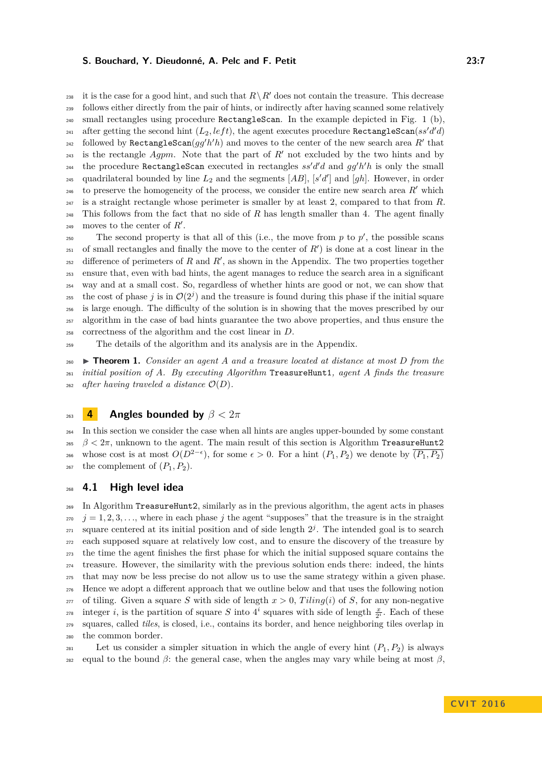238 it is the case for a good hint, and such that  $R \setminus R'$  does not contain the treasure. This decrease <sup>239</sup> follows either directly from the pair of hints, or indirectly after having scanned some relatively <sup>240</sup> small rectangles using procedure RectangleScan. In the example depicted in Fig. 1 (b), after getting the second hint  $(L_2, left)$ , the agent executes procedure RectangleScan $(ss'd'd)$ followed by  $\texttt{RectanglesCan}(gg'h'h)$  and moves to the center of the new search area  $R'$  that 243 is the rectangle  $Agpm$ . Note that the part of  $R'$  not excluded by the two hints and by the procedure RectangleScan executed in rectangles  $ss'd'd$  and  $gg'h'h$  is only the small <sup>245</sup> quadrilateral bounded by line  $L_2$  and the segments  $[AB]$ ,  $[s'd']$  and  $[gh]$ . However, in order  $_{246}$  to preserve the homogeneity of the process, we consider the entire new search area  $R'$  which <sup>247</sup> is a straight rectangle whose perimeter is smaller by at least 2, compared to that from *R*. <sup>248</sup> This follows from the fact that no side of *R* has length smaller than 4. The agent finally 249 moves to the center of  $R'$ .

The second property is that all of this (i.e., the move from  $p$  to  $p'$ , the possible scans  $_{251}$  of small rectangles and finally the move to the center of  $R'$ ) is done at a cost linear in the  $_{252}$  difference of perimeters of *R* and *R'*, as shown in the Appendix. The two properties together <sup>253</sup> ensure that, even with bad hints, the agent manages to reduce the search area in a significant <sup>254</sup> way and at a small cost. So, regardless of whether hints are good or not, we can show that the cost of phase *j* is in  $\mathcal{O}(2^j)$  and the treasure is found during this phase if the initial square <sup>256</sup> is large enough. The difficulty of the solution is in showing that the moves prescribed by our <sup>257</sup> algorithm in the case of bad hints guarantee the two above properties, and thus ensure the <sup>258</sup> correctness of the algorithm and the cost linear in *D*.

<sup>259</sup> The details of the algorithm and its analysis are in the Appendix.

<sup>260</sup> I **Theorem 1.** *Consider an agent A and a treasure located at distance at most D from the* <sup>261</sup> *initial position of A. By executing Algorithm* TreasureHunt1*, agent A finds the treasure* <sup>262</sup> *after having traveled a distance*  $\mathcal{O}(D)$ *.* 

<sup>263</sup> **4 Angles bounded by** *β <* 2*π*

<sup>264</sup> In this section we consider the case when all hints are angles upper-bounded by some constant  $265$  *β* <  $2π$ , unknown to the agent. The main result of this section is Algorithm TreasureHunt2 <sup>266</sup> whose cost is at most  $O(D^{2-\epsilon})$ , for some  $\epsilon > 0$ . For a hint  $(P_1, P_2)$  we denote by  $\overline{(P_1, P_2)}$ <sup>267</sup> the complement of  $(P_1, P_2)$ .

#### <sup>268</sup> **4.1 High level idea**

 In Algorithm TreasureHunt2, similarly as in the previous algorithm, the agent acts in phases  $\dot{q} = 1, 2, 3, \ldots$ , where in each phase *j* the agent "supposes" that the treasure is in the straight  $_{271}$  square centered at its initial position and of side length  $2<sup>j</sup>$ . The intended goal is to search each supposed square at relatively low cost, and to ensure the discovery of the treasure by the time the agent finishes the first phase for which the initial supposed square contains the treasure. However, the similarity with the previous solution ends there: indeed, the hints that may now be less precise do not allow us to use the same strategy within a given phase. Hence we adopt a different approach that we outline below and that uses the following notion <sup>277</sup> of tiling. Given a square *S* with side of length  $x > 0$ ,  $Tiling(i)$  of *S*, for any non-negative integer *i*, is the partition of square *S* into  $4^i$  squares with side of length  $\frac{x}{2^i}$ . Each of these squares, called *tiles*, is closed, i.e., contains its border, and hence neighboring tiles overlap in the common border.

281 Let us consider a simpler situation in which the angle of every hint  $(P_1, P_2)$  is always <sup>282</sup> equal to the bound *β*: the general case, when the angles may vary while being at most *β*.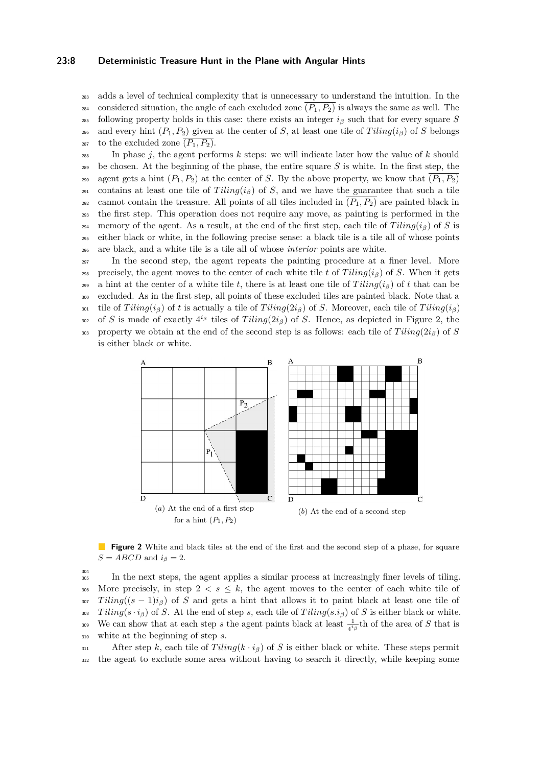#### **23:8 Deterministic Treasure Hunt in the Plane with Angular Hints**

<sup>283</sup> adds a level of technical complexity that is unnecessary to understand the intuition. In the <sup>284</sup> considered situation, the angle of each excluded zone  $\overline{(P_1, P_2)}$  is always the same as well. The <sup>285</sup> following property holds in this case: there exists an integer  $i<sub>β</sub>$  such that for every square *S* 286 and every hint  $(P_1, P_2)$  given at the center of *S*, at least one tile of *Tiling*( $i<sub>β</sub>$ ) of *S* belongs <sup>287</sup> to the excluded zone  $(P_1, P_2)$ .

 $\sum_{288}$  In phase *j*, the agent performs *k* steps: we will indicate later how the value of *k* should <sup>289</sup> be chosen. At the beginning of the phase, the entire square *S* is white. In the first step, the <sup>290</sup> agent gets a hint  $(P_1, P_2)$  at the center of *S*. By the above property, we know that  $(P_1, P_2)$ 291 contains at least one tile of  $Tiling(i_\beta)$  of *S*, and we have the guarantee that such a tile <sup>292</sup> cannot contain the treasure. All points of all tiles included in  $(P_1, P_2)$  are painted black in <sup>293</sup> the first step. This operation does not require any move, as painting is performed in the 294 memory of the agent. As a result, at the end of the first step, each tile of  $Tiling(i_\beta)$  of *S* is <sup>295</sup> either black or white, in the following precise sense: a black tile is a tile all of whose points <sup>296</sup> are black, and a white tile is a tile all of whose *interior* points are white.

<sup>297</sup> In the second step, the agent repeats the painting procedure at a finer level. More <sup>298</sup> precisely, the agent moves to the center of each white tile *t* of *T iling*(*iβ*) of *S*. When it gets 299 a hint at the center of a white tile *t*, there is at least one tile of  $Tiling(i<sub>β</sub>)$  of *t* that can be <sup>300</sup> excluded. As in the first step, all points of these excluded tiles are painted black. Note that a 301 tile of  $Tiling(i_\beta)$  of t is actually a tile of  $Tiling(2i_\beta)$  of *S*. Moreover, each tile of  $Tiling(i_\beta)$ 

302 of *S* is made of exactly  $4^{i\beta}$  tiles of *Tiling*( $2i_{\beta}$ ) of *S*. Hence, as depicted in Figure 2, the 303 property we obtain at the end of the second step is as follows: each tile of  $T \, \text{i} \, \text{i} \, \text{i} \, q \, \text{i} \, g$ 





**Figure 2** White and black tiles at the end of the first and the second step of a phase, for square  $S = ABCD$  and  $i_{\beta} = 2$ .

304

<sup>305</sup> In the next steps, the agent applies a similar process at increasingly finer levels of tiling. 306 More precisely, in step  $2 < s < k$ , the agent moves to the center of each white tile of  $307$  *Tiling*( $(s - 1)i<sub>\beta</sub>$ ) of *S* and gets a hint that allows it to paint black at least one tile of  $Tiling(s \cdot i_{\beta})$  of *S*. At the end of step *s*, each tile of  $Tiling(s \cdot i_{\beta})$  of *S* is either black or white. We can show that at each step *s* the agent paints black at least  $\frac{1}{4^{i\beta}}$ th of the area of *S* that is <sup>310</sup> white at the beginning of step *s*.

311 After step *k*, each tile of  $Tiling(k \cdot i_{\beta})$  of *S* is either black or white. These steps permit <sup>312</sup> the agent to exclude some area without having to search it directly, while keeping some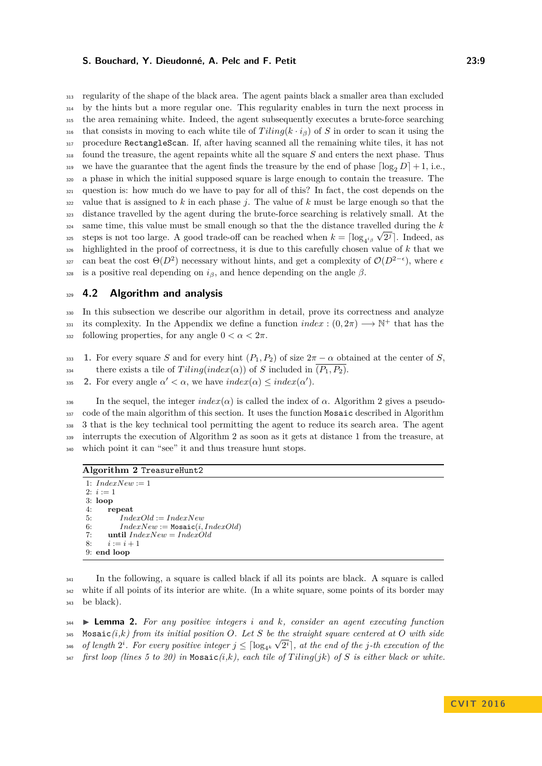regularity of the shape of the black area. The agent paints black a smaller area than excluded by the hints but a more regular one. This regularity enables in turn the next process in the area remaining white. Indeed, the agent subsequently executes a brute-force searching 316 that consists in moving to each white tile of  $Tiling(k \cdot i_\beta)$  of *S* in order to scan it using the procedure RectangleScan. If, after having scanned all the remaining white tiles, it has not found the treasure, the agent repaints white all the square *S* and enters the next phase. Thus 319 we have the guarantee that the agent finds the treasure by the end of phase  $\lceil \log_2 D \rceil + 1$ , i.e., a phase in which the initial supposed square is large enough to contain the treasure. The question is: how much do we have to pay for all of this? In fact, the cost depends on the value that is assigned to *k* in each phase *j*. The value of *k* must be large enough so that the distance travelled by the agent during the brute-force searching is relatively small. At the  $\frac{324}{2}$  same time, this value must be small enough so that the the distance travelled during the *k* steps is not too large. A good trade-off can be reached when  $k = \lceil \log_{4^{i\beta}} \sqrt{2^j} \rceil$ . Indeed, as highlighted in the proof of correctness, it is due to this carefully chosen value of *k* that we <sup>327</sup> can beat the cost  $\Theta(D^2)$  necessary without hints, and get a complexity of  $\mathcal{O}(D^{2-\epsilon})$ , where  $\epsilon$ 328 is a positive real depending on  $i_{\beta}$ , and hence depending on the angle  $\beta$ .

#### <sup>329</sup> **4.2 Algorithm and analysis**

<sup>330</sup> In this subsection we describe our algorithm in detail, prove its correctness and analyze its complexity. In the Appendix we define a function  $index : (0, 2\pi) \longrightarrow \mathbb{N}^+$  that has the  $_{332}$  following properties, for any angle  $0 < \alpha < 2\pi$ .

333 **1.** For every square *S* and for every hint  $(P_1, P_2)$  of size  $2\pi - \alpha$  obtained at the center of *S*,

there exists a tile of  $Tiling/index(\alpha))$  of *S* included in  $(P_1, P_2)$ .

**2.** For every angle  $\alpha' < \alpha$ , we have  $index(\alpha) \leq index(\alpha')$ .

 In the sequel, the integer *index*( $α$ ) is called the index of  $α$ . Algorithm 2 gives a pseudo-337 code of the main algorithm of this section. It uses the function Mosaic described in Algorithm 3 that is the key technical tool permitting the agent to reduce its search area. The agent interrupts the execution of Algorithm 2 as soon as it gets at distance 1 from the treasure, at which point it can "see" it and thus treasure hunt stops.

#### **Algorithm 2** TreasureHunt2

1:  $IndexNew := 1$ 2:  $i := 1$ 3: **loop** 4: **repeat** 5: *IndexOld* := *IndexNew* 6:  $IndexNew := \text{Mosaic}(i, IndexOld)$ 7: **until** *IndexNew* = *IndexOld* 8:  $i := i + 1$ 9: **end loop**

<sup>341</sup> In the following, a square is called black if all its points are black. A square is called <sup>342</sup> white if all points of its interior are white. (In a white square, some points of its border may <sup>343</sup> be black).

<sup>344</sup> I **Lemma 2.** *For any positive integers i and k, consider an agent executing function* 345 Mosaic $(i,k)$  from its initial position O. Let S be the straight square centered at O with side  $_3$ <sup>46</sup> of length  $2^i$ . For every positive integer  $j \leq \lceil \log_{4^k} \sqrt{2^i} \rceil$ , at the end of the  $j$ -th execution of the <sup>347</sup> *first loop (lines 5 to 20) in* Mosaic*(i,k), each tile of T iling*(*jk*) *of S is either black or white.*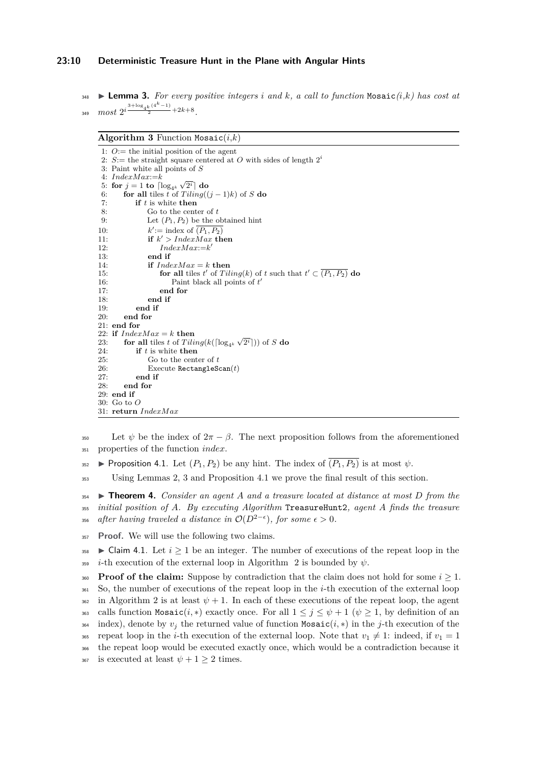#### **23:10 Deterministic Treasure Hunt in the Plane with Angular Hints**

**248 Lemma 3.** For every positive integers *i* and *k*, a call to function Mosaic $(i, k)$  has cost at 349  $most \ 2^{i \frac{3 + \log_{4} k \cdot (4^{k}-1)}{2} + 2k + 8}.$ 

#### **Algorithm 3** Function Mosaic $(i,k)$

```
1: O:= the initial position of the agent
 2: S := the straight square centered at O with sides of length 2<sup>i</sup>3: Paint white all points of S
 4: IndexMar = k4: IndexMax:=k<br>
5: for j = 1 to \lceil log_{4^k} \sqrt{2^i} \rceil do
 6: for all tiles t of Tiling((j-1)k) of S do
7: if t is white then
8: Go to the center of t
9: Let (P_1, P_2) be the obtained hint
10·\prime := \text{index of } (P_1, P_2)11: if k' > IndexMax then
12: IndexMax:=k
0
13: end if
14: if IndexMax = k then
15: for all tiles t' of Tiling(k) of t such that t' \subset (P_1, P_2) do
16: Paint black all points of t'
17: end for
18: end if
19: end if
       end for
21: end for
22: if IndexMax = k then<br>23: for all tiles t of Tili
22: if IndexMax = k then<br>23: for all tiles t of Tiling(k(\lceil \log_{4^k} \sqrt{2^i \rceil})) of S do
24: if t is white then<br>25: Go to the cent
              Go to the center of t26: Execute RectangleScan(t)<br>27: end if
27: end if
       end for
29: end if
30: Go to O
31: return IndexMax
```
350 Let  $\psi$  be the index of  $2\pi - \beta$ . The next proposition follows from the aforementioned <sup>351</sup> properties of the function *index*.

 $\bullet$  **Proposition 4.1.** Let  $(P_1, P_2)$  be any hint. The index of  $\overline{(P_1, P_2)}$  is at most  $\psi$ .

<sup>353</sup> Using Lemmas 2, 3 and Proposition 4.1 we prove the final result of this section.

<sup>354</sup> I **Theorem 4.** *Consider an agent A and a treasure located at distance at most D from the* <sup>355</sup> *initial position of A. By executing Algorithm* TreasureHunt2*, agent A finds the treasure* 356 *after having traveled a distance in*  $\mathcal{O}(D^{2-\epsilon})$ , for some  $\epsilon > 0$ .

<sup>357</sup> **Proof.** We will use the following two claims.

358  $\blacktriangleright$  Claim 4.1. Let  $i \geq 1$  be an integer. The number of executions of the repeat loop in the  $\dot{\mathbf{z}}_1$  *i*-th execution of the external loop in Algorithm 2 is bounded by  $\psi$ .

**Proof of the claim:** Suppose by contradiction that the claim does not hold for some  $i > 1$ . <sup>361</sup> So, the number of executions of the repeat loop in the *i*-th execution of the external loop <sup>362</sup> in Algorithm 2 is at least  $\psi + 1$ . In each of these executions of the repeat loop, the agent <sup>363</sup> calls function Mosaic $(i, *)$  exactly once. For all  $1 \leq j \leq \psi + 1$  ( $\psi \geq 1$ , by definition of an 364 index), denote by  $v_j$  the returned value of function Mosaic $(i, *)$  in the *j*-th execution of the <sup>365</sup> repeat loop in the *i*-th execution of the external loop. Note that  $v_1 \neq 1$ : indeed, if  $v_1 = 1$ <sup>366</sup> the repeat loop would be executed exactly once, which would be a contradiction because it <sup>367</sup> is executed at least  $\psi + 1 \geq 2$  times.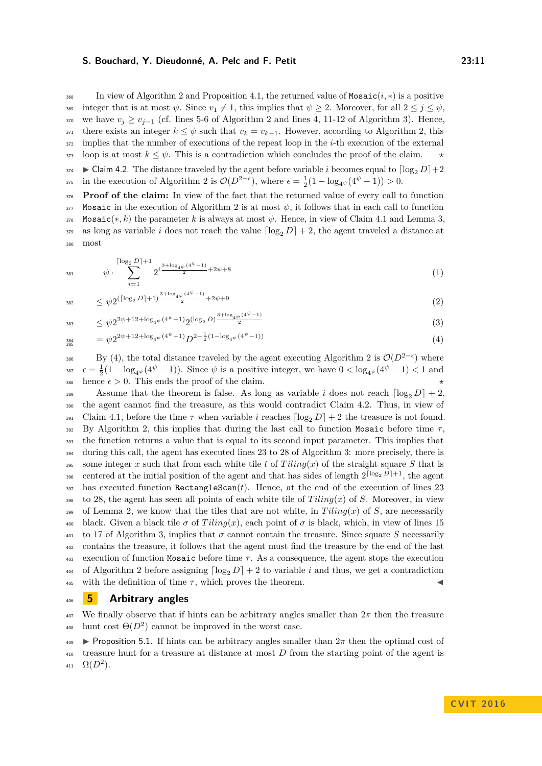In view of Algorithm 2 and Proposition 4.1, the returned value of Mosaic $(i, *)$  is a positive 369 integer that is at most  $\psi$ . Since  $v_1 \neq 1$ , this implies that  $\psi \geq 2$ . Moreover, for all  $2 \leq j \leq \psi$ , 370 we have  $v_j \ge v_{j-1}$  (cf. lines 5-6 of Algorithm 2 and lines 4, 11-12 of Algorithm 3). Hence, 371 there exists an integer  $k \leq \psi$  such that  $v_k = v_{k-1}$ . However, according to Algorithm 2, this <sup>372</sup> implies that the number of executions of the repeat loop in the *i*-th execution of the external  $373$  loop is at most  $k \leq \psi$ . This is a contradiction which concludes the proof of the claim.

 $374$  **D** Claim 4.2. The distance traveled by the agent before variable *i* becomes equal to  $\lceil \log_2 D \rceil + 2$ <sup>375</sup> in the execution of Algorithm 2 is  $\mathcal{O}(D^{2-\epsilon})$ , where  $\epsilon = \frac{1}{2}(1 - \log_{4} \psi(4^{\psi} - 1)) > 0$ .

376 **Proof of the claim:** In view of the fact that the returned value of every call to function 377 Mosaic in the execution of Algorithm 2 is at most  $\psi$ , it follows that in each call to function 378 Mosaic(\**, k*) the parameter *k* is always at most  $\psi$ . Hence, in view of Claim 4.1 and Lemma 3, 379 as long as variable *i* does not reach the value  $\lceil \log_2 D \rceil + 2$ , the agent traveled a distance at <sup>380</sup> most

$$
{}_{381} \qquad \psi \cdot \sum_{i=1}^{\lceil \log_2 D \rceil + 1} 2^{i \frac{3 + \log_4 \psi (4^{\psi} - 1)}{2} + 2\psi + 8} \tag{1}
$$

$$
\leq \psi 2^{(\lceil \log_2 D \rceil + 1) \frac{3 + \log_4 \psi \left(4^{\psi} - 1\right)}{2}} + 2\psi + 9 \tag{2}
$$

$$
\leq \psi 2^{2\psi + 12 + \log_{4} \psi} (4^{\psi} - 1) 2^{(\log_2 D)} \frac{\frac{3 + \log_{4} \psi} (4^{\psi} - 1)}{2} \tag{3}
$$

$$
{}_{384}^{384} = \psi 2^{2\psi + 12 + \log_{4}\psi} (4^{\psi} - 1)} D^{2 - \frac{1}{2}(1 - \log_{4}\psi} (4^{\psi} - 1))
$$
\n
$$
\tag{4}
$$

By (4), the total distance traveled by the agent executing Algorithm 2 is  $\mathcal{O}(D^{2-\epsilon})$  where <sup>387</sup>  $\epsilon = \frac{1}{2}(1 - \log_{4}(\psi^{4} - 1))$ . Since  $\psi$  is a positive integer, we have  $0 < \log_{4}(\psi^{4} - 1) < 1$  and 388 hence  $\epsilon > 0$ . This ends the proof of the claim.

389 Assume that the theorem is false. As long as variable *i* does not reach  $\lceil \log_2 D \rceil + 2$ . <sup>390</sup> the agent cannot find the treasure, as this would contradict Claim 4.2. Thus, in view of 391 Claim 4.1, before the time  $\tau$  when variable *i* reaches  $\lceil \log_2 D \rceil + 2$  the treasure is not found. <sup>392</sup> By Algorithm 2, this implies that during the last call to function Mosaic before time *τ* , <sup>393</sup> the function returns a value that is equal to its second input parameter. This implies that <sup>394</sup> during this call, the agent has executed lines 23 to 28 of Algorithm 3: more precisely, there is 395 some integer x such that from each white tile t of  $Tiling(x)$  of the straight square S that is s96 centered at the initial position of the agent and that has sides of length  $2^{\lceil \log_2 D \rceil + 1}$ , the agent  $397$  has executed function RectangleScan $(t)$ . Hence, at the end of the execution of lines 23  $398$  to 28, the agent has seen all points of each white tile of *Tiling*(*x*) of *S*. Moreover, in view 399 of Lemma 2, we know that the tiles that are not white, in  $Tiling(x)$  of *S*, are necessarily <sup>400</sup> black. Given a black tile *σ* of  $Tiling(x)$ , each point of *σ* is black, which, in view of lines 15  $401$  to 17 of Algorithm 3, implies that  $\sigma$  cannot contain the treasure. Since square *S* necessarily <sup>402</sup> contains the treasure, it follows that the agent must find the treasure by the end of the last <sup>403</sup> execution of function Mosaic before time *τ* . As a consequence, the agent stops the execution 404 of Algorithm 2 before assigning  $\lceil \log_2 D \rceil + 2$  to variable *i* and thus, we get a contradiction  $405$  with the definition of time  $\tau$ , which proves the theorem.

#### <sup>406</sup> **5 Arbitrary angles**

<sup>407</sup> We finally observe that if hints can be arbitrary angles smaller than 2*π* then the treasure <sup>408</sup> hunt cost  $\Theta(D^2)$  cannot be improved in the worst case.

**Proposition 5.1.** If hints can be arbitrary angles smaller than  $2\pi$  then the optimal cost of <sup>410</sup> treasure hunt for a treasure at distance at most *D* from the starting point of the agent is 411  $\Omega(D^2)$ .